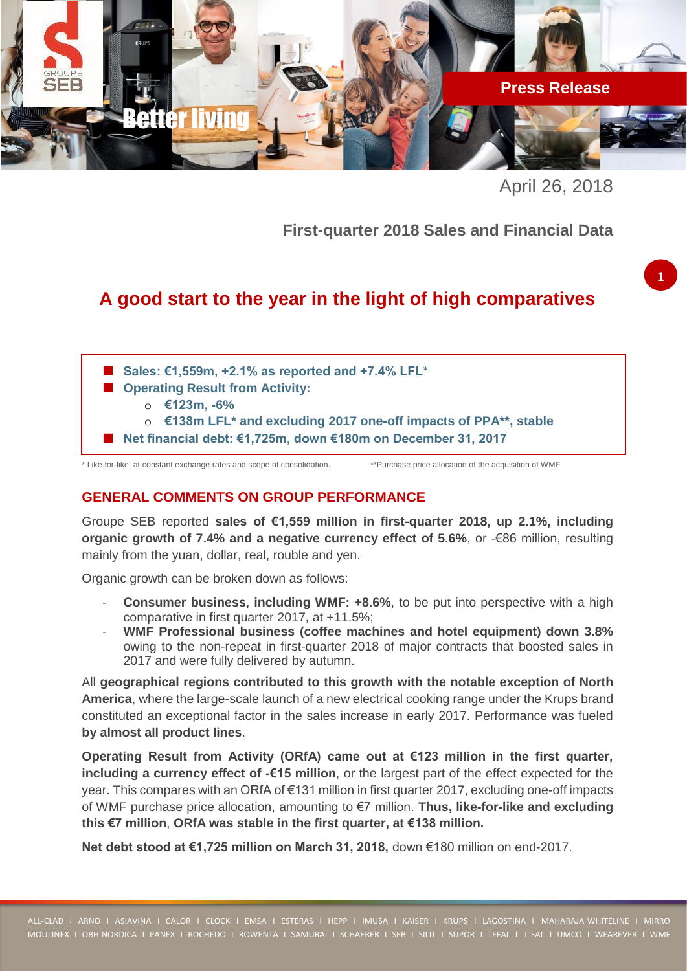

April 26, 2018

**First-quarter 2018 Sales and Financial Data**

# **A good start to the year in the light of high comparatives**

- Sales: €1,559m, +2.1% as reported and +7.4% LFL<sup>\*</sup>
- Operating Result from **Activity:** 
	- o **€123m, -6%**
	- o **€138m LFL\* and excluding 2017 one-off impacts of PPA\*\*, stable**
- **Net financial debt: €1,725m, down €180m on December 31, 2017**

\* Like-for-like: at constant exchange rates and scope of consolidation. \*\*Purchase price allocation of the acquisition of WMF

## **GENERAL COMMENTS ON GROUP PERFORMANCE**

Groupe SEB reported **sales of €1,559 million in first-quarter 2018, up 2.1%, including organic growth of 7.4% and a negative currency effect of 5.6%, or -€86 million, resulting** mainly from the yuan, dollar, real, rouble and yen.

Organic growth can be broken down as follows:

- **Consumer business, including WMF:**  $+8.6\%$ **, to be put into perspective with a high** comparative in first quarter 2017, at +11.5%;
- **WMF Professional business (coffee machines and hotel equipment) down 3.8%** owing to the non-repeat in first-quarter 2018 of major contracts that boosted sales in 2017 and were fully delivered by autumn.

All **geographical regions contributed to this growth with the notable exception of North America**, where the large-scale launch of a new electrical cooking range under the Krups brand constituted an exceptional factor in the sales increase in early 2017. Performance was fueled **by almost all product lines**.

**Operating Result from Activity (ORfA) came out at €123 million in the first quarter, including a currency effect of -€15 million**, or the largest part of the effect expected for the year. This compares with an ORfA of €131 million in first quarter 2017, excluding one-off impacts of WMF purchase price allocation, amounting to €7 million. **Thus, like-for-like and excluding this €7 million**, **ORfA was stable in the first quarter, at €138 million.**

**Net debt stood at €1,725 million on March 31, 2018, down €180 million on end-2017.**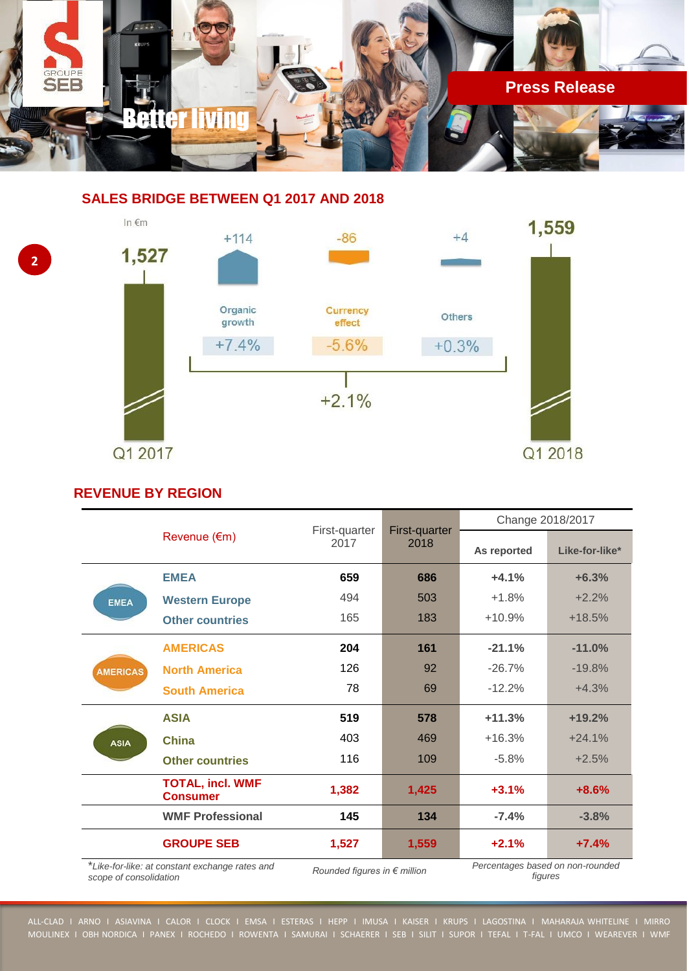

# **SALES BRIDGE BETWEEN Q1 2017 AND 2018**



### **REVENUE BY REGION**

**2**

|                                                                          | Revenue $(\epsilon m)$                     | First-quarter<br>2017        | First-quarter<br>2018 | Change 2018/2017                            |                |
|--------------------------------------------------------------------------|--------------------------------------------|------------------------------|-----------------------|---------------------------------------------|----------------|
|                                                                          |                                            |                              |                       | As reported                                 | Like-for-like* |
| <b>EMEA</b>                                                              | <b>EMEA</b>                                | 659                          | 686                   | $+4.1%$                                     | $+6.3%$        |
|                                                                          | <b>Western Europe</b>                      | 494                          | 503                   | $+1.8%$                                     | $+2.2%$        |
|                                                                          | <b>Other countries</b>                     | 165                          | 183                   | $+10.9%$                                    | $+18.5%$       |
| <b>AMERICAS</b>                                                          | <b>AMERICAS</b>                            | 204                          | 161                   | $-21.1%$                                    | $-11.0%$       |
|                                                                          | <b>North America</b>                       | 126                          | 92                    | $-26.7%$                                    | $-19.8%$       |
|                                                                          | <b>South America</b>                       | 78                           | 69                    | $-12.2%$                                    | $+4.3%$        |
| <b>ASIA</b>                                                              | <b>ASIA</b>                                | 519                          | 578                   | $+11.3%$                                    | $+19.2%$       |
|                                                                          | China                                      | 403                          | 469                   | $+16.3%$                                    | $+24.1%$       |
|                                                                          | <b>Other countries</b>                     | 116                          | 109                   | $-5.8%$                                     | $+2.5%$        |
|                                                                          | <b>TOTAL, incl. WMF</b><br><b>Consumer</b> | 1,382                        | 1,425                 | $+3.1%$                                     | $+8.6%$        |
|                                                                          | <b>WMF Professional</b>                    | 145                          | 134                   | $-7.4%$                                     | $-3.8%$        |
|                                                                          | <b>GROUPE SEB</b>                          | 1,527                        | 1,559                 | $+2.1%$                                     | $+7.4%$        |
| *Like-for-like: at constant exchange rates and<br>scope of consolidation |                                            | Rounded figures in € million |                       | Percentages based on non-rounded<br>figures |                |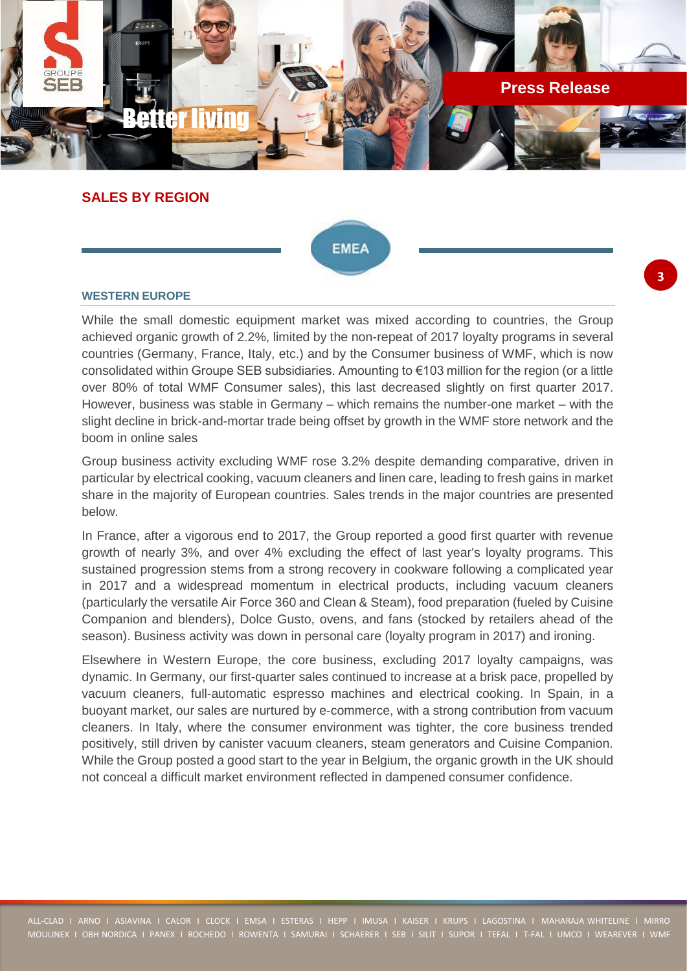

**SALES BY REGION**



### **WESTERN EUROPE**

While the small domestic equipment market was mixed according to countries, the Group achieved organic growth of 2.2%, limited by the non-repeat of 2017 loyalty programs in several countries (Germany, France, Italy, etc.) and by the Consumer business of WMF, which is now consolidated within Groupe SEB subsidiaries. Amounting to €103 million for the region (or a little over 80% of total WMF Consumer sales), this last decreased slightly on first quarter 2017. However, business was stable in Germany – which remains the number-one market – with the slight decline in brick-and-mortar trade being offset by growth in the WMF store network and the boom in online sales

Group business activity excluding WMF rose 3.2% despite demanding comparative, driven in particular by electrical cooking, vacuum cleaners and linen care, leading to fresh gains in market share in the majority of European countries. Sales trends in the major countries are presented below.

In France, after a vigorous end to 2017, the Group reported a good first quarter with revenue growth of nearly 3%, and over 4% excluding the effect of last year's loyalty programs. This sustained progression stems from a strong recovery in cookware following a complicated year in 2017 and a widespread momentum in electrical products, including vacuum cleaners (particularly the versatile Air Force 360 and Clean & Steam), food preparation (fueled by Cuisine Companion and blenders), Dolce Gusto, ovens, and fans (stocked by retailers ahead of the season). Business activity was down in personal care (loyalty program in 2017) and ironing.

Elsewhere in Western Europe, the core business, excluding 2017 loyalty campaigns, was dynamic. In Germany, our first-quarter sales continued to increase at a brisk pace, propelled by vacuum cleaners, full-automatic espresso machines and electrical cooking. In Spain, in a buoyant market, our sales are nurtured by e-commerce, with a strong contribution from vacuum cleaners. In Italy, where the consumer environment was tighter, the core business trended positively, still driven by canister vacuum cleaners, steam generators and Cuisine Companion. While the Group posted a good start to the year in Belgium, the organic growth in the UK should not conceal a difficult market environment reflected in dampened consumer confidence.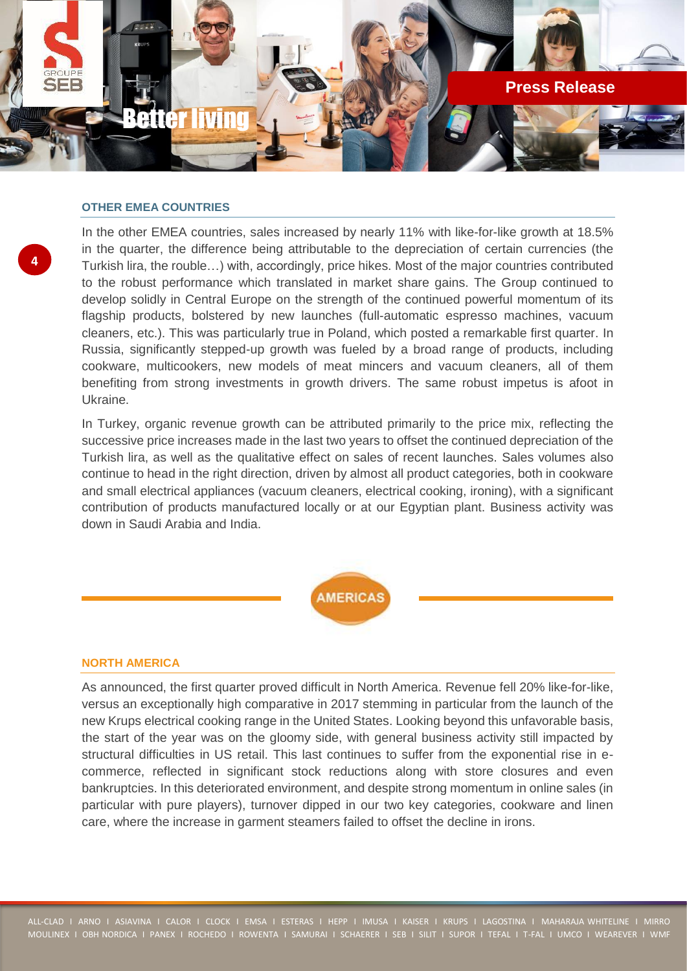

### **OTHER EMEA COUNTRIES**

**4**

In the other EMEA countries, sales increased by nearly 11% with like-for-like growth at 18.5% in the quarter, the difference being attributable to the depreciation of certain currencies (the Turkish lira, the rouble…) with, accordingly, price hikes. Most of the major countries contributed to the robust performance which translated in market share gains. The Group continued to develop solidly in Central Europe on the strength of the continued powerful momentum of its flagship products, bolstered by new launches (full-automatic espresso machines, vacuum cleaners, etc.). This was particularly true in Poland, which posted a remarkable first quarter. In Russia, significantly stepped-up growth was fueled by a broad range of products, including cookware, multicookers, new models of meat mincers and vacuum cleaners, all of them benefiting from strong investments in growth drivers. The same robust impetus is afoot in Ukraine.

In Turkey, organic revenue growth can be attributed primarily to the price mix, reflecting the successive price increases made in the last two years to offset the continued depreciation of the Turkish lira, as well as the qualitative effect on sales of recent launches. Sales volumes also continue to head in the right direction, driven by almost all product categories, both in cookware and small electrical appliances (vacuum cleaners, electrical cooking, ironing), with a significant contribution of products manufactured locally or at our Egyptian plant. Business activity was down in Saudi Arabia and India.



### **NORTH AMERICA**

As announced, the first quarter proved difficult in North America. Revenue fell 20% like-for-like, versus an exceptionally high comparative in 2017 stemming in particular from the launch of the new Krups electrical cooking range in the United States. Looking beyond this unfavorable basis, the start of the year was on the gloomy side, with general business activity still impacted by structural difficulties in US retail. This last continues to suffer from the exponential rise in ecommerce, reflected in significant stock reductions along with store closures and even bankruptcies. In this deteriorated environment, and despite strong momentum in online sales (in particular with pure players), turnover dipped in our two key categories, cookware and linen care, where the increase in garment steamers failed to offset the decline in irons.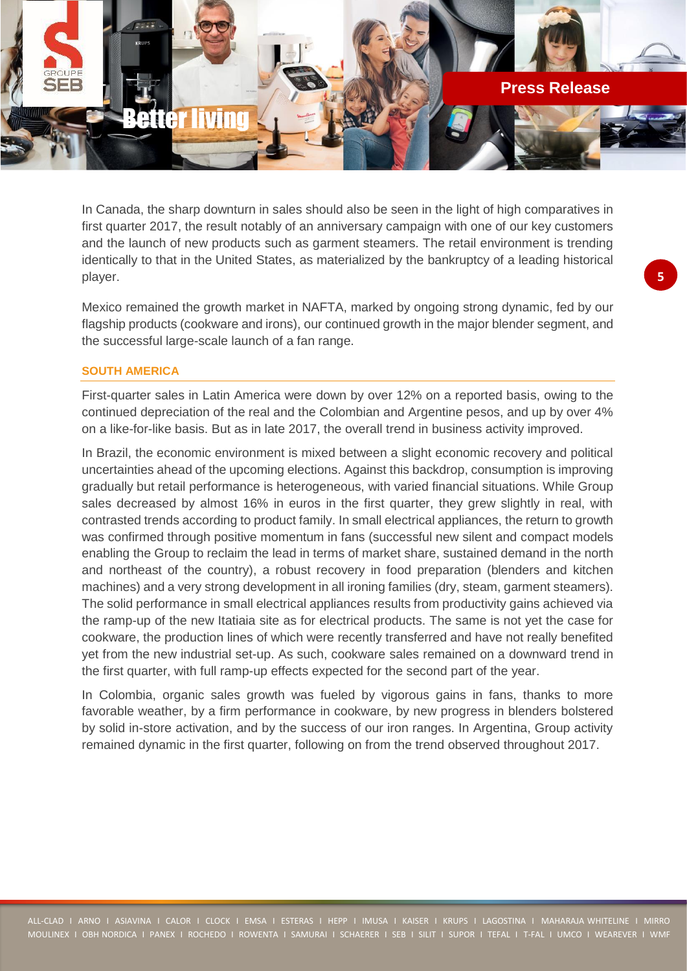

In Canada, the sharp downturn in sales should also be seen in the light of high comparatives in first quarter 2017, the result notably of an anniversary campaign with one of our key customers and the launch of new products such as garment steamers. The retail environment is trending identically to that in the United States, as materialized by the bankruptcy of a leading historical player.

Mexico remained the growth market in NAFTA, marked by ongoing strong dynamic, fed by our flagship products (cookware and irons), our continued growth in the major blender segment, and the successful large-scale launch of a fan range.

### **SOUTH AMERICA**

First-quarter sales in Latin America were down by over 12% on a reported basis, owing to the continued depreciation of the real and the Colombian and Argentine pesos, and up by over 4% on a like-for-like basis. But as in late 2017, the overall trend in business activity improved.

In Brazil, the economic environment is mixed between a slight economic recovery and political uncertainties ahead of the upcoming elections. Against this backdrop, consumption is improving gradually but retail performance is heterogeneous, with varied financial situations. While Group sales decreased by almost 16% in euros in the first quarter, they grew slightly in real, with contrasted trends according to product family. In small electrical appliances, the return to growth was confirmed through positive momentum in fans (successful new silent and compact models enabling the Group to reclaim the lead in terms of market share, sustained demand in the north and northeast of the country), a robust recovery in food preparation (blenders and kitchen machines) and a very strong development in all ironing families (dry, steam, garment steamers). The solid performance in small electrical appliances results from productivity gains achieved via the ramp-up of the new Itatiaia site as for electrical products. The same is not yet the case for cookware, the production lines of which were recently transferred and have not really benefited yet from the new industrial set-up. As such, cookware sales remained on a downward trend in the first quarter, with full ramp-up effects expected for the second part of the year.

In Colombia, organic sales growth was fueled by vigorous gains in fans, thanks to more favorable weather, by a firm performance in cookware, by new progress in blenders bolstered by solid in-store activation, and by the success of our iron ranges. In Argentina, Group activity remained dynamic in the first quarter, following on from the trend observed throughout 2017.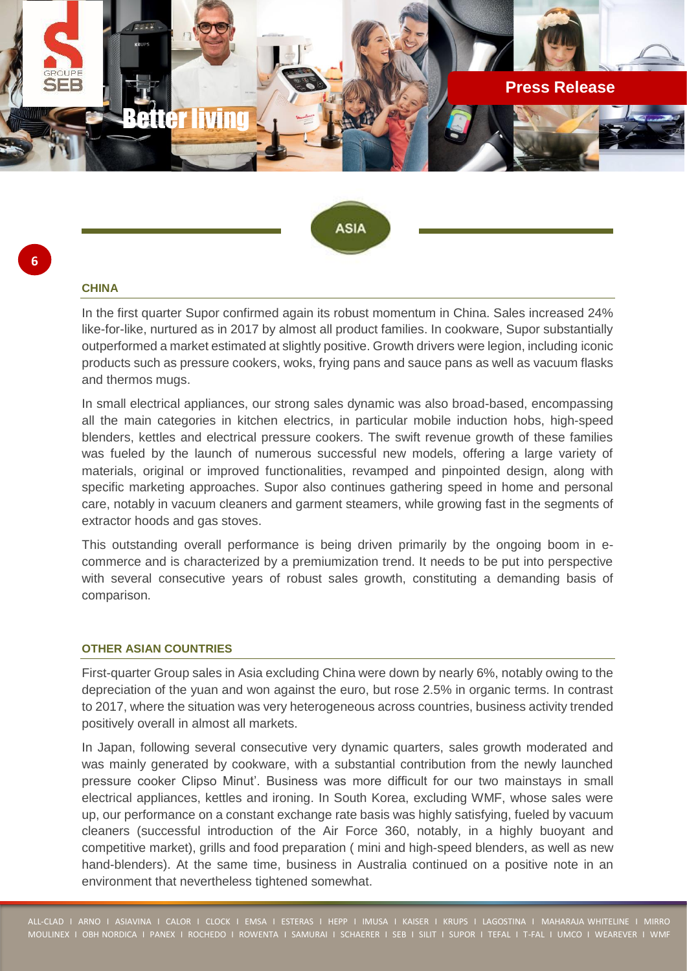



#### **CHINA**

**6**

In the first quarter Supor confirmed again its robust momentum in China. Sales increased 24% like-for-like, nurtured as in 2017 by almost all product families. In cookware, Supor substantially outperformed a market estimated at slightly positive. Growth drivers were legion, including iconic products such as pressure cookers, woks, frying pans and sauce pans as well as vacuum flasks and thermos mugs.

In small electrical appliances, our strong sales dynamic was also broad-based, encompassing all the main categories in kitchen electrics, in particular mobile induction hobs, high-speed blenders, kettles and electrical pressure cookers. The swift revenue growth of these families was fueled by the launch of numerous successful new models, offering a large variety of materials, original or improved functionalities, revamped and pinpointed design, along with specific marketing approaches. Supor also continues gathering speed in home and personal care, notably in vacuum cleaners and garment steamers, while growing fast in the segments of extractor hoods and gas stoves.

This outstanding overall performance is being driven primarily by the ongoing boom in ecommerce and is characterized by a premiumization trend. It needs to be put into perspective with several consecutive years of robust sales growth, constituting a demanding basis of comparison.

### **OTHER ASIAN COUNTRIES**

First-quarter Group sales in Asia excluding China were down by nearly 6%, notably owing to the depreciation of the yuan and won against the euro, but rose 2.5% in organic terms. In contrast to 2017, where the situation was very heterogeneous across countries, business activity trended positively overall in almost all markets.

In Japan, following several consecutive very dynamic quarters, sales growth moderated and was mainly generated by cookware, with a substantial contribution from the newly launched pressure cooker Clipso Minut'. Business was more difficult for our two mainstays in small electrical appliances, kettles and ironing. In South Korea, excluding WMF, whose sales were up, our performance on a constant exchange rate basis was highly satisfying, fueled by vacuum cleaners (successful introduction of the Air Force 360, notably, in a highly buoyant and competitive market), grills and food preparation ( mini and high-speed blenders, as well as new hand-blenders). At the same time, business in Australia continued on a positive note in an environment that nevertheless tightened somewhat.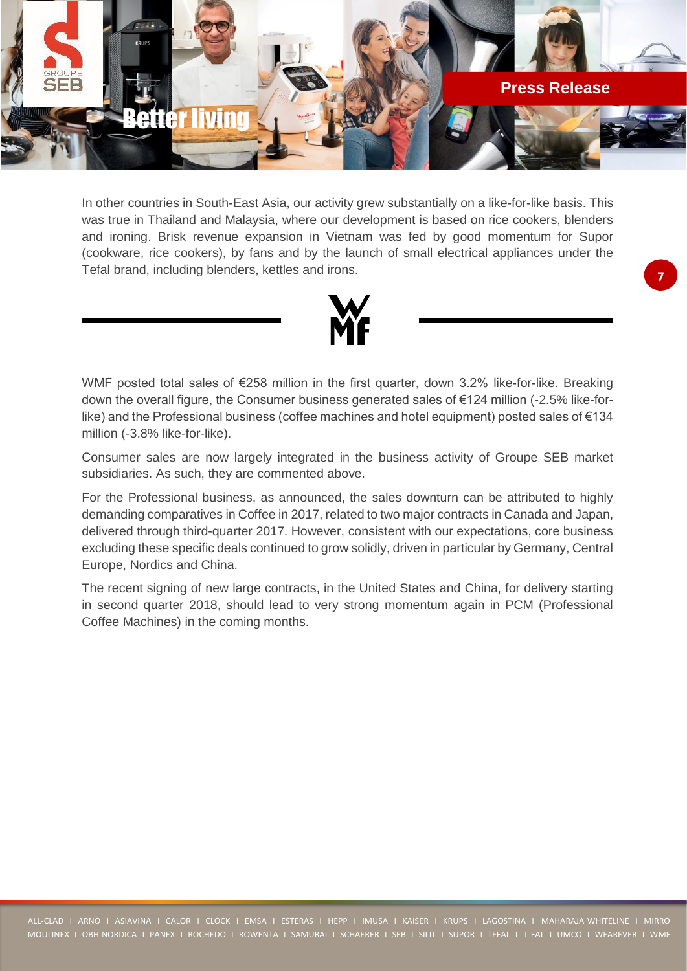

In other countries in South-East Asia, our activity grew substantially on a like-for-like basis. This was true in Thailand and Malaysia, where our development is based on rice cookers, blenders and ironing. Brisk revenue expansion in Vietnam was fed by good momentum for Supor (cookware, rice cookers), by fans and by the launch of small electrical appliances under the Tefal brand, including blenders, kettles and irons.



WMF posted total sales of €258 million in the first quarter, down 3.2% like-for-like. Breaking down the overall figure, the Consumer business generated sales of €124 million (-2.5% like-forlike) and the Professional business (coffee machines and hotel equipment) posted sales of €134 million (-3.8% like-for-like).

Consumer sales are now largely integrated in the business activity of Groupe SEB market subsidiaries. As such, they are commented above.

For the Professional business, as announced, the sales downturn can be attributed to highly demanding comparatives in Coffee in 2017, related to two major contracts in Canada and Japan, delivered through third-quarter 2017. However, consistent with our expectations, core business excluding these specific deals continued to grow solidly, driven in particular by Germany, Central Europe, Nordics and China.

The recent signing of new large contracts, in the United States and China, for delivery starting in second quarter 2018, should lead to very strong momentum again in PCM (Professional Coffee Machines) in the coming months.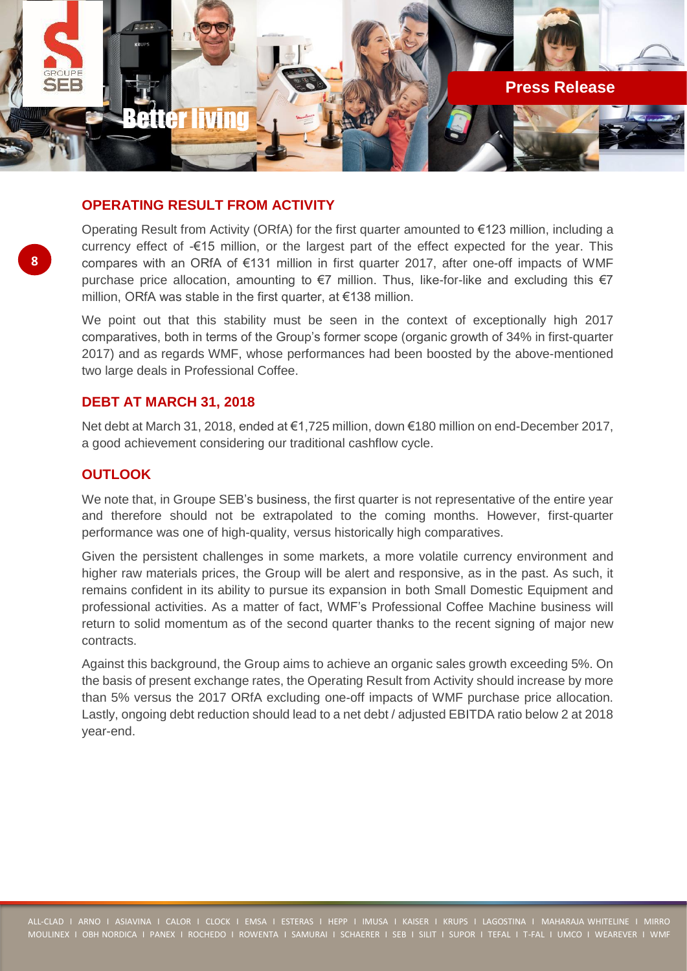

### **OPERATING RESULT FROM ACTIVITY**

Operating Result from Activity (ORfA) for the first quarter amounted to €123 million, including a currency effect of -€15 million, or the largest part of the effect expected for the year. This compares with an ORfA of €131 million in first quarter 2017, after one-off impacts of WMF purchase price allocation, amounting to  $\epsilon$ 7 million. Thus, like-for-like and excluding this  $\epsilon$ 7 million, ORfA was stable in the first quarter, at €138 million.

We point out that this stability must be seen in the context of exceptionally high 2017 comparatives, both in terms of the Group's former scope (organic growth of 34% in first-quarter 2017) and as regards WMF, whose performances had been boosted by the above-mentioned two large deals in Professional Coffee.

### **DEBT AT MARCH 31, 2018**

Net debt at March 31, 2018, ended at €1,725 million, down €180 million on end-December 2017, a good achievement considering our traditional cashflow cycle.

### **OUTLOOK**

We note that, in Groupe SEB's business, the first quarter is not representative of the entire year and therefore should not be extrapolated to the coming months. However, first-quarter performance was one of high-quality, versus historically high comparatives.

Given the persistent challenges in some markets, a more volatile currency environment and higher raw materials prices, the Group will be alert and responsive, as in the past. As such, it remains confident in its ability to pursue its expansion in both Small Domestic Equipment and professional activities. As a matter of fact, WMF's Professional Coffee Machine business will return to solid momentum as of the second quarter thanks to the recent signing of major new contracts.

Against this background, the Group aims to achieve an organic sales growth exceeding 5%. On the basis of present exchange rates, the Operating Result from Activity should increase by more than 5% versus the 2017 ORfA excluding one-off impacts of WMF purchase price allocation. Lastly, ongoing debt reduction should lead to a net debt / adjusted EBITDA ratio below 2 at 2018 year-end.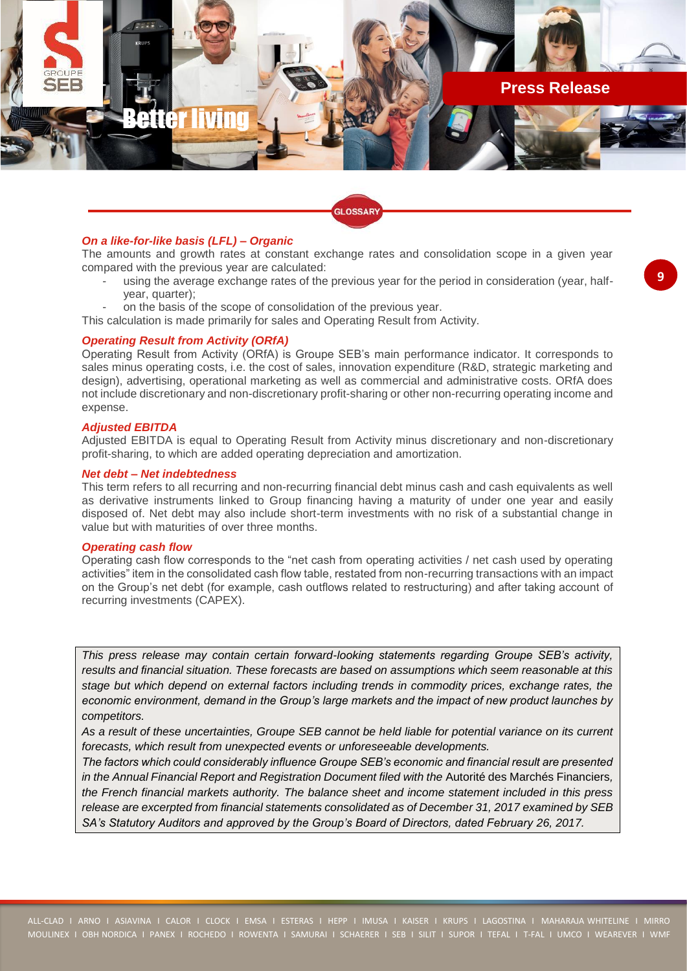

.<br>GLOSSARY

### *On a like-for-like basis (LFL) – Organic*

The amounts and growth rates at constant exchange rates and consolidation scope in a given year compared with the previous year are calculated:

- using the average exchange rates of the previous year for the period in consideration (year, halfyear, quarter);
- on the basis of the scope of consolidation of the previous year.
- This calculation is made primarily for sales and Operating Result from Activity.

#### *Operating Result from Activity (ORfA)*

Operating Result from Activity (ORfA) is Groupe SEB's main performance indicator. It corresponds to sales minus operating costs, i.e. the cost of sales, innovation expenditure (R&D, strategic marketing and design), advertising, operational marketing as well as commercial and administrative costs. ORfA does not include discretionary and non-discretionary profit-sharing or other non-recurring operating income and expense.

#### *Adjusted EBITDA*

Adjusted EBITDA is equal to Operating Result from Activity minus discretionary and non-discretionary profit-sharing, to which are added operating depreciation and amortization.

### *Net debt – Net indebtedness*

This term refers to all recurring and non-recurring financial debt minus cash and cash equivalents as well as derivative instruments linked to Group financing having a maturity of under one year and easily disposed of. Net debt may also include short-term investments with no risk of a substantial change in value but with maturities of over three months.

#### *Operating cash flow*

Operating cash flow corresponds to the "net cash from operating activities / net cash used by operating activities" item in the consolidated cash flow table, restated from non-recurring transactions with an impact on the Group's net debt (for example, cash outflows related to restructuring) and after taking account of recurring investments (CAPEX).

*This press release may contain certain forward-looking statements regarding Groupe SEB's activity, results and financial situation. These forecasts are based on assumptions which seem reasonable at this stage but which depend on external factors including trends in commodity prices, exchange rates, the economic environment, demand in the Group's large markets and the impact of new product launches by competitors.*

*As a result of these uncertainties, Groupe SEB cannot be held liable for potential variance on its current forecasts, which result from unexpected events or unforeseeable developments.*

*The factors which could considerably influence Groupe SEB's economic and financial result are presented in the Annual Financial Report and Registration Document filed with the* Autorité des Marchés Financiers*, the French financial markets authority. The balance sheet and income statement included in this press release are excerpted from financial statements consolidated as of December 31, 2017 examined by SEB SA's Statutory Auditors and approved by the Group's Board of Directors, dated February 26, 2017.*